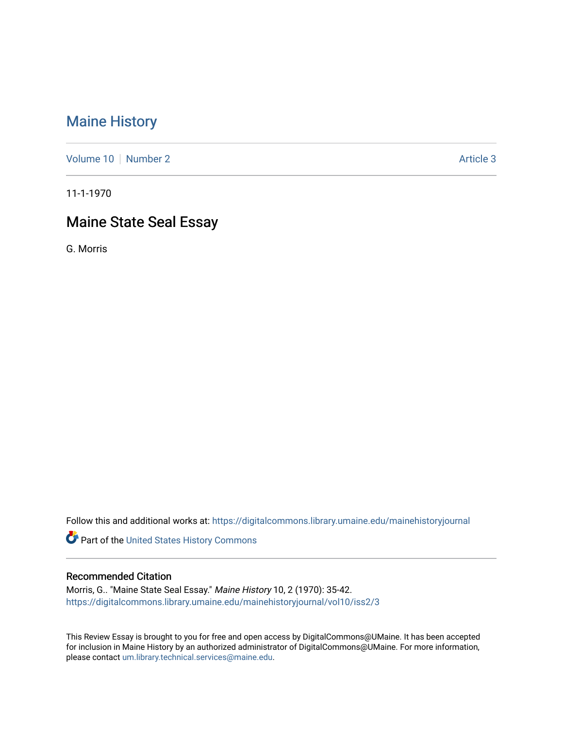## [Maine History](https://digitalcommons.library.umaine.edu/mainehistoryjournal)

[Volume 10](https://digitalcommons.library.umaine.edu/mainehistoryjournal/vol10) [Number 2](https://digitalcommons.library.umaine.edu/mainehistoryjournal/vol10/iss2) Article 3

11-1-1970

## Maine State Seal Essay

G. Morris

Follow this and additional works at: [https://digitalcommons.library.umaine.edu/mainehistoryjournal](https://digitalcommons.library.umaine.edu/mainehistoryjournal?utm_source=digitalcommons.library.umaine.edu%2Fmainehistoryjournal%2Fvol10%2Fiss2%2F3&utm_medium=PDF&utm_campaign=PDFCoverPages) 

Part of the [United States History Commons](http://network.bepress.com/hgg/discipline/495?utm_source=digitalcommons.library.umaine.edu%2Fmainehistoryjournal%2Fvol10%2Fiss2%2F3&utm_medium=PDF&utm_campaign=PDFCoverPages) 

## Recommended Citation

Morris, G.. "Maine State Seal Essay." Maine History 10, 2 (1970): 35-42. [https://digitalcommons.library.umaine.edu/mainehistoryjournal/vol10/iss2/3](https://digitalcommons.library.umaine.edu/mainehistoryjournal/vol10/iss2/3?utm_source=digitalcommons.library.umaine.edu%2Fmainehistoryjournal%2Fvol10%2Fiss2%2F3&utm_medium=PDF&utm_campaign=PDFCoverPages)

This Review Essay is brought to you for free and open access by DigitalCommons@UMaine. It has been accepted for inclusion in Maine History by an authorized administrator of DigitalCommons@UMaine. For more information, please contact [um.library.technical.services@maine.edu.](mailto:um.library.technical.services@maine.edu)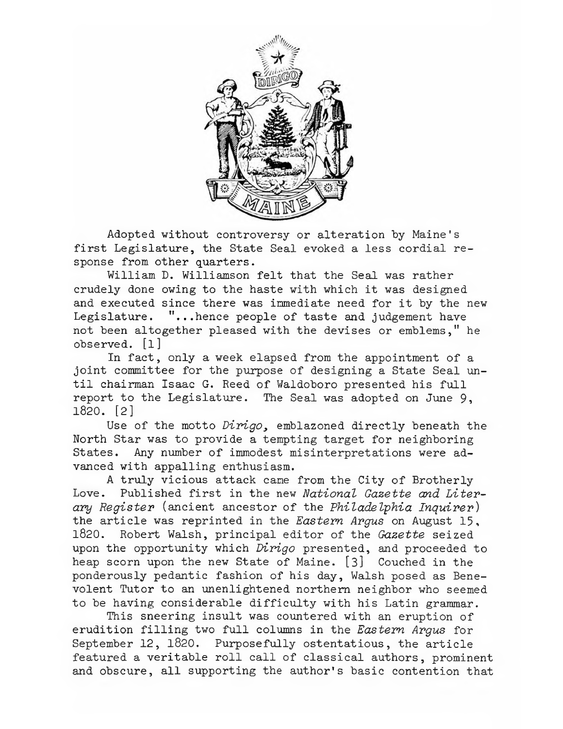

Adopted without controversy or alteration by Maine's first Legislature, the State Seal evoked <sup>a</sup> less cordial response from other quarters.

William D. Williamson felt that the Seal was rather crudely done owing to the haste with which it was designed and executed since there was immediate need for it by the new Legislature, "...hence people of taste and judgement have not been altogether pleased with the devises or emblems," he observed. [1]

In fact, only <sup>a</sup> week elapsed from the appointment of <sup>a</sup> joint committee for the purpose of designing a State Seal until chairman Isaac G. Reed of Waldoboro presented his full report to the Legislature. The Seal was adopted on June 9, 1820. [2]

Use of the motto *Dirigo,* emblazoned directly beneath the North Star was to provide a tempting target for neighboring States. Any number of immodest misinterpretations were advanced with appalling enthusiasm.

<sup>A</sup> truly vicious attack came from the City of Brotherly Love. Published first in the new *National Gazette and Literary Register* (ancient ancestor of the *Philadelphia Inquirer)* the article was reprinted in the *Eastern Argus* on August 15, 1820. Robert Walsh, principal editor of the *Gazette* seized upon the opportunity which *Dirigo* presented, and proceeded to heap scorn upon the new State of Maine. [3] Couched in the ponderously pedantic fashion of his day, Walsh posed as Benevolent Tutor to an unenlightened northern neighbor who seemed to be having considerable difficulty with his Latin grammar.

This sneering insult was countered with an eruption of erudition filling two full columns in the *Eastern Argus* for September 12, 1820. Purposefully ostentatious, the article featured <sup>a</sup> veritable roll call of classical authors, prominent and obscure, all supporting the author's basic contention that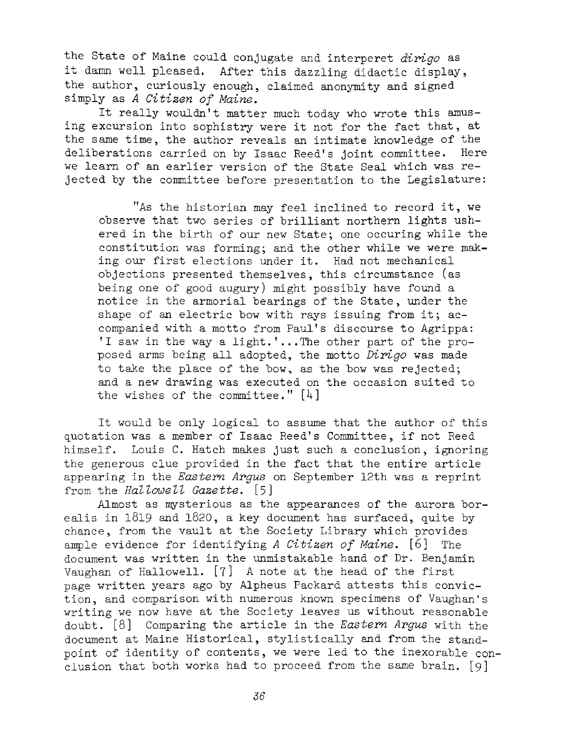the State of Maine could conjugate and interperet *dirigo* as it damn well pleased. After this dazzling didactic display, the author, curiously enough, claimed anonymity and signed simply as *<sup>A</sup> Citizen of Maine.*

It really wouldn'<sup>t</sup> matter much today who wrote this amusing excursion into sophistry were it not for the fact that, at the same time, the author reveals an intimate knowledge of the deliberations carried on by Isaac Reed'<sup>s</sup> joint committee. Here we learn of an earlier version of the State Seal which was rejected by the committee before presentation to the Legislature:

"As the historian may feel inclined to record it, we observe that two series of brilliant northern lights ushered in the birth of our new State; one occuring while the constitution was forming; and the other while we were making our first elections under it. Had not mechanical objections presented themselves, this circumstance (as being one of good augury) might possibly have found a notice in the armorial bearings of the State, under the shape of an electric bow with rays issuing from it; accompanied with <sup>a</sup> motto from Paul'<sup>s</sup> discourse to Agrippa: '<sup>I</sup> saw in the way <sup>a</sup> light.'...The other part of the proposed arms being all adopted, the motto *Dirigo* was made to take the place of the bow, as the bow was rejected; and a new drawing was executed on the occasion suited to the wishes of the committee."  $[4]$ 

It would be only logical to assume that the author of this quotation was <sup>a</sup> member of Isaac Reed'<sup>s</sup> Committee, if not Reed himself. Louis C. Hatch makes just such a conclusion, ignoring the generous clue provided in the fact that the entire article appearing in the *Eastern Argus* on September 12th was a reprint from the *HallcwelZ Gazette.* [5]

Almost as mysterious as the appearances of the aurora borealis in 1819 and 1820, a key document has surfaced, quite by chance, from the vault at the Society Library which provides ample evidence for identifying *<sup>A</sup> Citizen of Maine.* [6] The document was written in the unmistakable hand of Dr. Benjamin Vaughan of Hallowell. [7] <sup>A</sup> note at the head of the first page written years ago by Alpheus Packard attests this conviction, and comparison with numerous known specimens of Vaughan'<sup>s</sup> writing we now have at the Society leaves us without reasonable doubt. [8] Comparing the article in the *Eastern Argus* with the document at Maine Historical, stylistically and from the standpoint of identity of contents, we were led to the inexorable conclusion that both works had to proceed from the same brain. [9]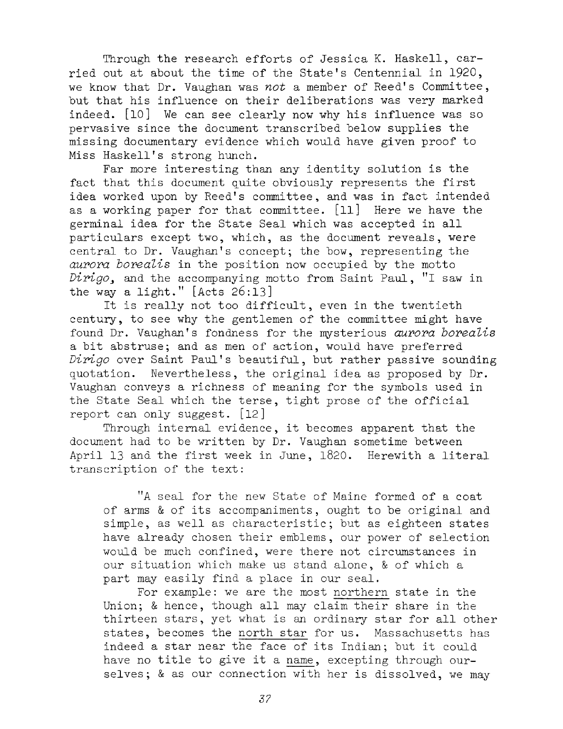Through the research efforts of Jessica K. Haskell, carried out at about the time of the State'<sup>s</sup> Centennial in 1920, we know that Dr. Vaughan was *not* <sup>a</sup> member of Reed'<sup>s</sup> Committee, but that his influence on their deliberations was very marked indeed. [10] We can see clearly now why his influence was so pervasive since the document transcribed below supplies the missing documentary evidence which would have given proof to Miss Haskell'<sup>s</sup> strong hunch.

Far more interesting than any identity solution is the fact that this document quite obviously represents the first idea worked upon by Reed'<sup>s</sup> committee, and was in fact intended as a working paper for that committee. [11] Here we have the germinal idea for the State Seal which was accepted in all particulars except two, which, as the document reveals, were central to Dr. Vaughan'<sup>s</sup> concept; the bow, representing the *aurora borealis* in the position now occupied by the motto *Dirigo^* and the accompanying motto from Saint Paul, "I saw in the way <sup>a</sup> light." [Acts 26:13]

It is really not too difficult, even in the twentieth century, to see why the gentlemen of the committee might have found Dr. Vaughan'<sup>s</sup> fondness for the mysterious *aurora borealis* <sup>a</sup> bit abstruse; and as men of action, would have preferred *Dirigo* over Saint Paul'<sup>s</sup> beautiful, but rather passive sounding quotation. Nevertheless, the original idea as proposed by Dr. Vaughan conveys a richness of meaning for the symbols used in the State Seal which the terse, tight prose of the official report can only suggest. [12]

Through internal evidence, it becomes apparent that the document had to be written by Dr. Vaughan sometime between April <sup>13</sup> and the first week in June, 1820. Herewith <sup>a</sup> literal transcription of the text:

"A seal for the new State of Maine formed of <sup>a</sup> coat of arms & of its accompaniments, ought to be original and simple, as well as characteristic; but as eighteen states have already chosen their emblems, our power of selection would be much confined, were there not circumstances in our situation which make us stand alone, & of which <sup>a</sup> part may easily find a place in our seal.

For example: we are the most northern state in the Union; & hence, though all may claim their share in the thirteen stars, yet what is an ordinary star for all other states, becomes the north star for us. Massachusetts has indeed <sup>a</sup> star near the face of its Indian; but it could have no title to give it <sup>a</sup> name, excepting through ourselves; & as our connection with her is dissolved, we may

37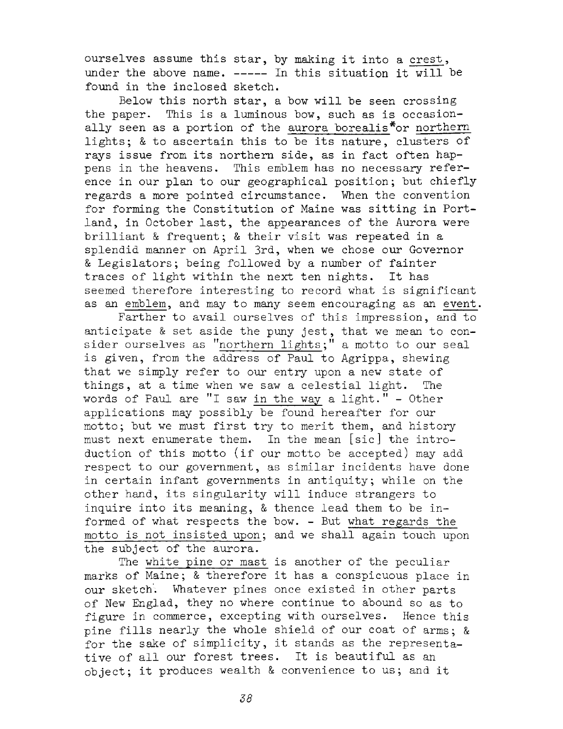ourselves assume this star, by making it into <sup>a</sup> crest, under the above name.  $---$  In this situation it will be found in the inclosed sketch.

Below this north star, <sup>a</sup> bow will be seen crossing the paper. This is a luminous bow, such as is occasionally seen as <sup>a</sup> portion of the aurora borealis\*or northern lights; & to ascertain this to be its nature, clusters of rays issue from its northern side, as in fact often happens in the heavens. This emblem has no necessary reference in our plan to our geographical position; but chiefly regards a more pointed circumstance. When the convention for forming the Constitution of Maine was sitting in Portland, in October last, the appearances of the Aurora were brilliant & frequent; & their visit was repeated in <sup>a</sup> splendid manner on April 3rd, when we chose our Governor & Legislators; being followed by a number of fainter traces of light within the next ten nights. It has seemed therefore interesting to record what is significant as an emblem, and may to many seem encouraging as an event.

Farther to avail ourselves of this impression, and to anticipate & set aside the puny jest, that we mean to consider ourselves as "northern lights;" <sup>a</sup> motto to our seal is given, from the address of Paul to Agrippa, shewing that we simply refer to our entry upon a new state of things, at <sup>a</sup> time when we saw <sup>a</sup> celestial light. The words of Paul are "I saw in the way <sup>a</sup> light." - Other applications may possibly be found hereafter for our motto; but we must first try to merit them, and history must next enumerate them. In the mean [sic] the introduction of this motto (if our motto be accepted) may add respect to our government, as similar incidents have done in certain infant governments in antiquity; while on the other hand, its singularity will induce strangers to inquire into its meaning, & thence lead them to be informed of what respects the bow. - But what regards the motto is not insisted upon; and we shall again touch upon the subject of the aurora.

The white pine or mast is another of the peculiar marks of Maine; & therefore it has <sup>a</sup> conspicuous place in our sketch. Whatever pines once existed in other parts of New Englad, they no where continue to abound so as to figure in commerce, excepting with ourselves. Hence this pine fills nearly the whole shield of our coat of arms; & for the sake of simplicity, it stands as the representative of all our forest trees. It is beautiful as an object; it produces wealth & convenience to us; and it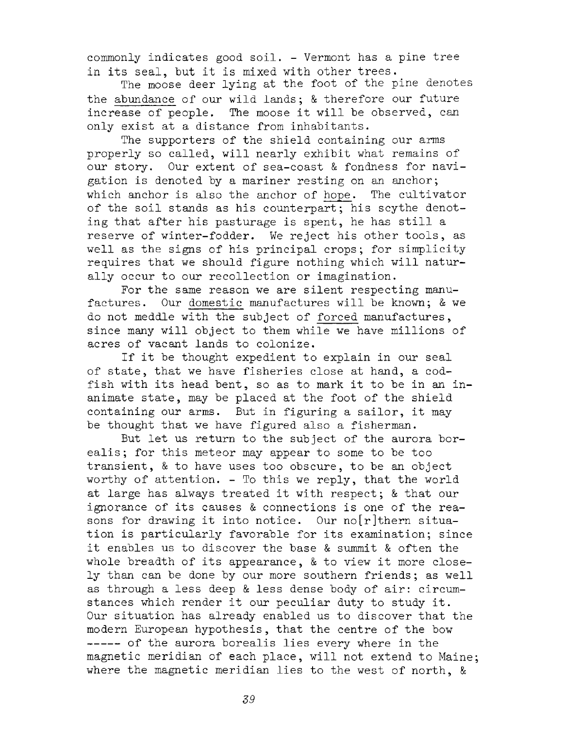commonly indicates good soil. - Vermont has a pine tree in its seal, but it is mixed with other trees.

The moose deer lying at the foot of the pine denotes the abundance of our wild lands; & therefore our future increase of people. The moose it will be observed, can only exist at a distance from inhabitants.

The supporters of the shield containing our arms properly so called, will nearly exhibit what remains of our story. Our extent of sea-coast & fondness for navigation is denoted by a mariner resting on an anchor; which anchor is also the anchor of hope. The cultivator of the soil stands as his counterpart; his scythe denoting that after his pasturage is spent, he has still <sup>a</sup> reserve of winter-fodder. We reject his other tools, as well as the signs of his principal crops; for simplicity requires that we should figure nothing which will naturally occur to our recollection or imagination.

For the same reason we are silent respecting manufactures. Our domestic manufactures will be known; & we do not meddle with the subject of forced manufactures, since many will object to them while we have millions of acres of vacant lands to colonize.

of state, that we have fisheries close at hand, a codfish with its head bent, so as to mark it to be in an inanimate state, may be placed at the foot of the shield containing our arms. But in figuring a sailor, it may be thought that we have figured also a fisherman. If it be thought expedient to explain in our seal

But let us return to the subject of the aurora borealis; for this meteor may appear to some to be too transient, & to have uses too obscure, to be an object worthy of attention. - To this we reply, that the world at large has always treated it with respect; & that our ignorance of its causes & connections is one of the reasons for drawing it into notice. Our no[r]thern situation is particularly favorable for its examination; since it enables us to discover the base & summit & often the whole breadth of its appearance, & to view it more closely than can be done by our more southern friends; as well as through <sup>a</sup> less deep & less dense body of air: circumstances which render it our peculiar duty to study it. Our situation has already enabled us to discover that the modern European hypothesis, that the centre of the bow ------ of the aurora borealis lies every where in the magnetic meridian of each place, will not extend to Maine; where the magnetic meridian lies to the west of north, &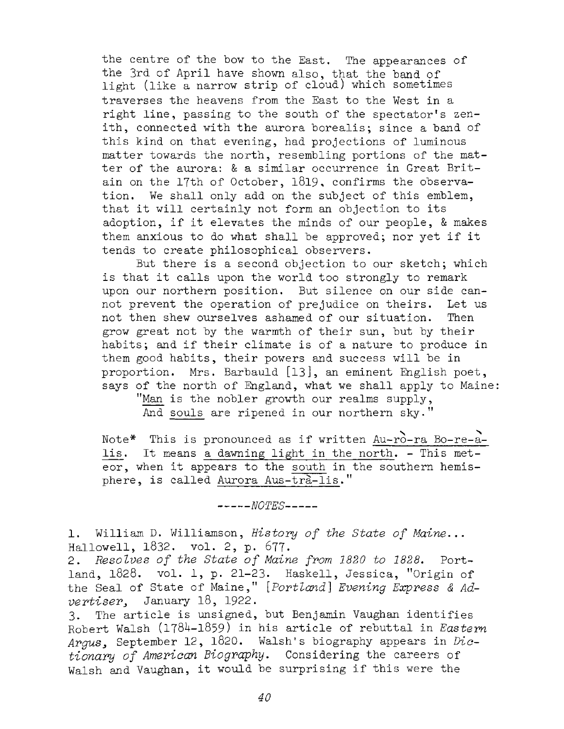the centre of the bow to the East. The appearances of the 3rd of April have shown also, that the band of light (like a narrow strip of cloud) which sometimes traverses the heavens from the East to the West in a right line, passing to the south of the spectator'<sup>s</sup> zenith, connected with the aurora borealis; since <sup>a</sup> band of this kind on that evening, had projections of luminous matter towards the north, resembling portions of the matter of the aurora: & a similar occurrence in Great Britain on the 17th of October, 1819, confirms the observation. We shall only add on the subject of this emblem, that it will certainly not form an objection to its adoption, if it elevates the minds of our people, & makes them anxious to do what shall be approved; nor yet if it tends to create philosophical observers.

But there is a second objection to our sketch; which is that it calls upon the world too strongly to remark upon our northern position. But silence on our side cannot prevent the operation of prejudice on theirs. Let us not then shew ourselves ashamed of our situation. Then grow great not by the warmth of their sun, but by their habits; and if their climate is of <sup>a</sup> nature to produce in them good habits, their powers and success will be in proportion. Mrs. Barbauld [13], an eminent English poet, says of the north of England, what we shall apply to Maine:

"Man is the nobler growth our realms supply, And souls are ripened in our northern sky."

Note\* This is pronounced as if written Au-ro-ra Bo-re-alis. It means <sup>a</sup> dawning light in the north. - This meteor, when it appears to the south in the southern hemisphere, is called Aurora Aus-trà-lis."

*-------- NOTES--------*

1. William D. Williamson, *History of the State of Maine...* Hallowell, 1832. vol. 2, p. 677.

2. *Resolves of the State of Maine from <sup>1820</sup> to 1823.* Portland, 1828. vol. 1, p. 21-23. Haskell, Jessica, "Origin of the Seal of State of Maine," *[Portland] Evening Express & Advertiser* January 18, 1922.

3. The article is unsigned, but Benjamin Vaughan identifies Robert Walsh (178^-1859) in his article of rebuttal in *Eastern Arguss* September 12, 1820. Walsh'<sup>s</sup> biography appears in *Dictionary of American Biography.* Considering the careers of Walsh and Vaughan, it would be surprising if this were the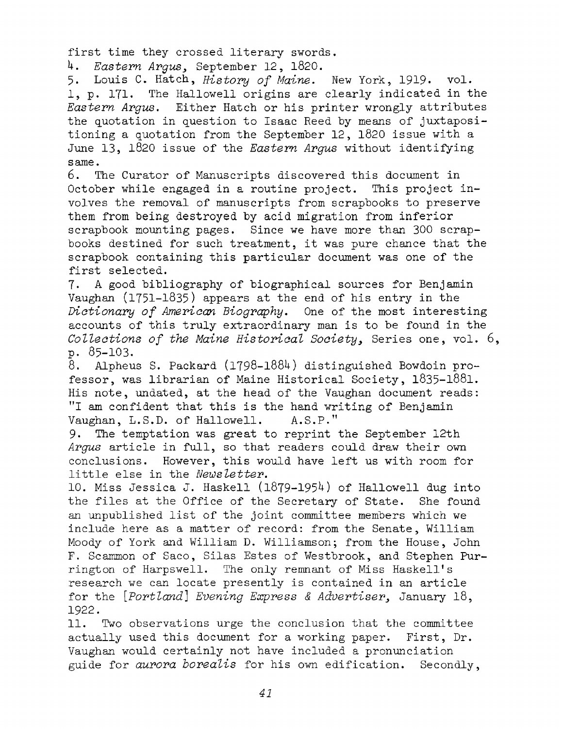first time they crossed literary swords.

4. *Eastern Argus* September 12, 1820.

5. Louis C. Hatch, *History of Maine,* New York, 1919- vol. 1, p. 171. The Hallowell origins are clearly indicated in the *Eastern Argus,* Either Hatch or his printer wrongly attributes the quotation in question to Isaac Reed by means of juxtapositioning a quotation from the September 12, 1820 issue with a June 13, <sup>1820</sup> issue of the *Eastern Argus* without identifying same.

6. The Curator of Manuscripts discovered this document in October while engaged in a routine project. This project involves the removal of manuscripts from scrapbooks to preserve them from being destroyed by acid migration from inferior scrapbook mounting pages. Since we have more than 300 scrapbooks destined for such treatment, it was pure chance that the scrapbook containing this particular document was one of the first selected.

7. <sup>A</sup> good bibliography of biographical sources for Benjamin Vaughan (1751-1835) appears at the end of his entry in the *Dictionary of American Biography.* One of the most interesting accounts of this truly extraordinary man is to be found in the *Collections of the Maine Historical Society,* Series one, vol. 6, p. 85-103.

8. Alpheus S. Packard (1798-1884) distinguished Bowdoin professor, was librarian of Maine Historical Society, 1835-1881. His note, undated, at the head of the Vaughan document reads: "I am confident that this is the hand writing of Benjamin Vaughan, L.S.D. of Hallowell. A.S.P-"

9. The temptation was great to reprint the September 12th *Argus* article in full, so that readers could draw their own conclusions. However, this would have left us with room for little else in the *newsletter,*

10. Miss Jessica J. Haskell  $(1879-1954)$  of Hallowell dug into the files at the Office of the Secretary of State. She found an unpublished list of the joint committee members which we include here as a matter of record: from the Senate, William Moody of York and William D. Williamson; from the House, John F. Scammon of Saco, Silas Estes of Westbrook, and Stephen Purrington of Harpswell. The only remnant of Miss Haskell'<sup>s</sup> research we can locate presently is contained in an article for the *[Portland] Evening Express & Advertiser<sup>&</sup>gt;* January 18, 1922.

11. Two observations urge the conclusion that the committee actually used this document for a working paper. First, Dr. Vaughan would certainly not have included a pronunciation guide for *aurora borealis* for his own edification. Secondly,